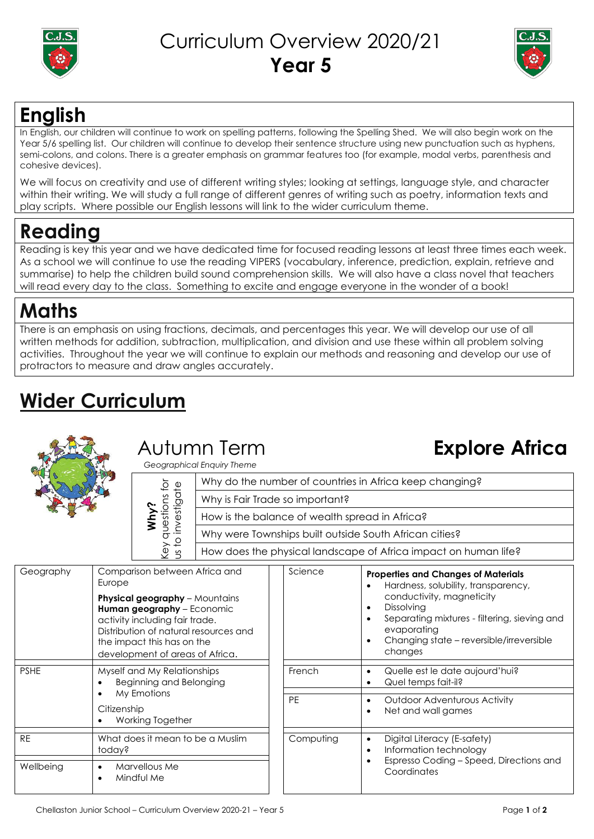

### Curriculum Overview 2020/21 **Year 5**



## **English**

In English, our children will continue to work on spelling patterns, following the Spelling Shed. We will also begin work on the Year 5/6 spelling list. Our children will continue to develop their sentence structure using new punctuation such as hyphens, semi-colons, and colons. There is a greater emphasis on grammar features too (for example, modal verbs, parenthesis and cohesive devices).

We will focus on creativity and use of different writing styles; looking at settings, language style, and character within their writing. We will study a full range of different genres of writing such as poetry, information texts and play scripts. Where possible our English lessons will link to the wider curriculum theme.

# **Reading**

Reading is key this year and we have dedicated time for focused reading lessons at least three times each week. As a school we will continue to use the reading VIPERS (vocabulary, inference, prediction, explain, retrieve and summarise) to help the children build sound comprehension skills. We will also have a class novel that teachers will read every day to the class. Something to excite and engage everyone in the wonder of a book!

## **Maths**

There is an emphasis on using fractions, decimals, and percentages this year. We will develop our use of all written methods for addition, subtraction, multiplication, and division and use these within all problem solving activities. Throughout the year we will continue to explain our methods and reasoning and develop our use of protractors to measure and draw angles accurately.

# **Wider Curriculum**



### Autumn Term

 *Geographical Enquiry Theme*

|  | Ocographical Linguis Theme |                                                                 |  |
|--|----------------------------|-----------------------------------------------------------------|--|
|  | stions for<br>estigate     | Why do the number of countries in Africa keep changing?         |  |
|  |                            | Why is Fair Trade so important?                                 |  |
|  |                            | How is the balance of wealth spread in Africa?                  |  |
|  |                            | Why were Townships built outside South African cities?          |  |
|  | i or kə\<br>S<br>5         | How does the physical landscape of Africa impact on human life? |  |

| Geography   | Comparison between Africa and<br>Europe<br><b>Physical geography</b> - Mountains<br>Human geography - Economic<br>activity including fair trade.<br>Distribution of natural resources and<br>the impact this has on the<br>development of areas of Africa. | Science   | <b>Properties and Changes of Materials</b><br>Hardness, solubility, transparency,<br>$\bullet$<br>conductivity, magneticity<br><b>Dissolving</b><br>$\bullet$<br>Separating mixtures - filtering, sieving and<br>$\bullet$<br>evaporating<br>Changing state – reversible/irreversible<br>$\bullet$<br>changes |  |
|-------------|------------------------------------------------------------------------------------------------------------------------------------------------------------------------------------------------------------------------------------------------------------|-----------|---------------------------------------------------------------------------------------------------------------------------------------------------------------------------------------------------------------------------------------------------------------------------------------------------------------|--|
| <b>PSHE</b> | Myself and My Relationships<br>Beginning and Belonging<br>$\bullet$                                                                                                                                                                                        | French    | Quelle est le date aujourd'hui?<br>$\bullet$<br>Quel temps fait-il?<br>$\bullet$                                                                                                                                                                                                                              |  |
|             | My Emotions<br>$\bullet$<br>Citizenship<br>Working Together<br>$\bullet$                                                                                                                                                                                   | <b>PE</b> | <b>Outdoor Adventurous Activity</b><br>$\bullet$<br>Net and wall games<br>$\bullet$                                                                                                                                                                                                                           |  |
| <b>RE</b>   | What does it mean to be a Muslim<br>today?                                                                                                                                                                                                                 | Computing | Digital Literacy (E-safety)<br>$\bullet$<br>Information technology<br>$\bullet$<br>Espresso Coding - Speed, Directions and<br>$\bullet$<br>Coordinates                                                                                                                                                        |  |
| Wellbeing   | Marvellous Me<br>$\bullet$<br>Mindful Me<br>$\bullet$                                                                                                                                                                                                      |           |                                                                                                                                                                                                                                                                                                               |  |

**Explore Africa**